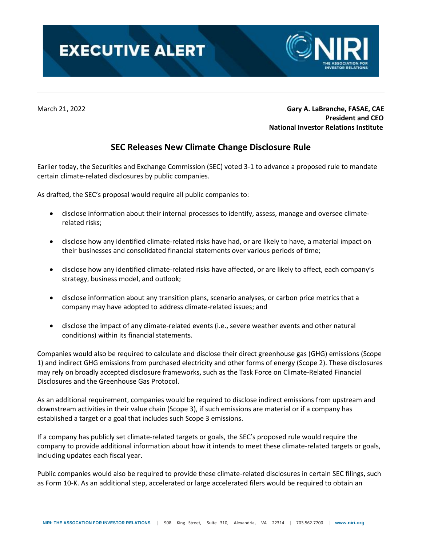



March 21, 2022 **Gary A. LaBranche, FASAE, CAE President and CEO National Investor Relations Institute**

## **SEC Releases New Climate Change Disclosure Rule**

Earlier today, the Securities and Exchange Commission (SEC) voted 3-1 to advance a proposed rule to mandate certain climate-related disclosures by public companies.

As drafted, the SEC's proposal would require all public companies to:

- disclose information about their internal processes to identify, assess, manage and oversee climaterelated risks;
- disclose how any identified climate-related risks have had, or are likely to have, a material impact on their businesses and consolidated financial statements over various periods of time;
- disclose how any identified climate-related risks have affected, or are likely to affect, each company's strategy, business model, and outlook;
- disclose information about any transition plans, scenario analyses, or carbon price metrics that a company may have adopted to address climate-related issues; and
- disclose the impact of any climate-related events (i.e., severe weather events and other natural conditions) within its financial statements.

Companies would also be required to calculate and disclose their direct greenhouse gas (GHG) emissions (Scope 1) and indirect GHG emissions from purchased electricity and other forms of energy (Scope 2). These disclosures may rely on broadly accepted disclosure frameworks, such as the Task Force on Climate-Related Financial Disclosures and the Greenhouse Gas Protocol.

As an additional requirement, companies would be required to disclose indirect emissions from upstream and downstream activities in their value chain (Scope 3), if such emissions are material or if a company has established a target or a goal that includes such Scope 3 emissions.

If a company has publicly set climate-related targets or goals, the SEC's proposed rule would require the company to provide additional information about how it intends to meet these climate-related targets or goals, including updates each fiscal year.

Public companies would also be required to provide these climate-related disclosures in certain SEC filings, such as Form 10-K. As an additional step, accelerated or large accelerated filers would be required to obtain an